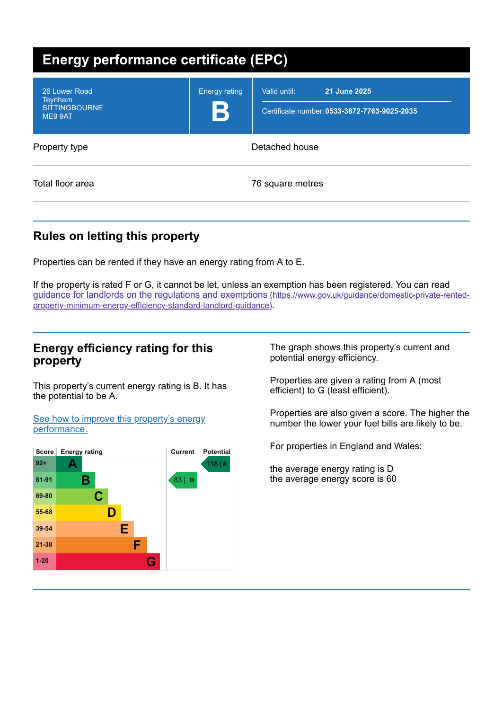| Energy performance certificate (EPC)                        |                                     |                                                                              |  |  |
|-------------------------------------------------------------|-------------------------------------|------------------------------------------------------------------------------|--|--|
| 26 Lower Road<br>Teynham<br><b>SITTINGBOURNE</b><br>ME9 9AT | <b>Energy rating</b><br>$\mathbf B$ | 21 June 2025<br>Valid until:<br>Certificate number: 0533-3872-7763-9025-2035 |  |  |
| Property type                                               | Detached house                      |                                                                              |  |  |
| Total floor area                                            |                                     | 76 square metres                                                             |  |  |

# **Rules on letting this property**

Properties can be rented if they have an energy rating from A to E.

If the property is rated F or G, it cannot be let, unless an exemption has been registered. You can read guidance for landlords on the regulations and exemptions (https://www.gov.uk/guidance/domestic-private-rented[property-minimum-energy-efficiency-standard-landlord-guidance\)](https://www.gov.uk/guidance/domestic-private-rented-property-minimum-energy-efficiency-standard-landlord-guidance).

## **Energy efficiency rating for this property**

This property's current energy rating is B. It has the potential to be A.

See how to improve this property's energy [performance.](#page-2-0)



The graph shows this property's current and potential energy efficiency.

Properties are given a rating from A (most efficient) to G (least efficient).

Properties are also given a score. The higher the number the lower your fuel bills are likely to be.

For properties in England and Wales:

the average energy rating is D the average energy score is 60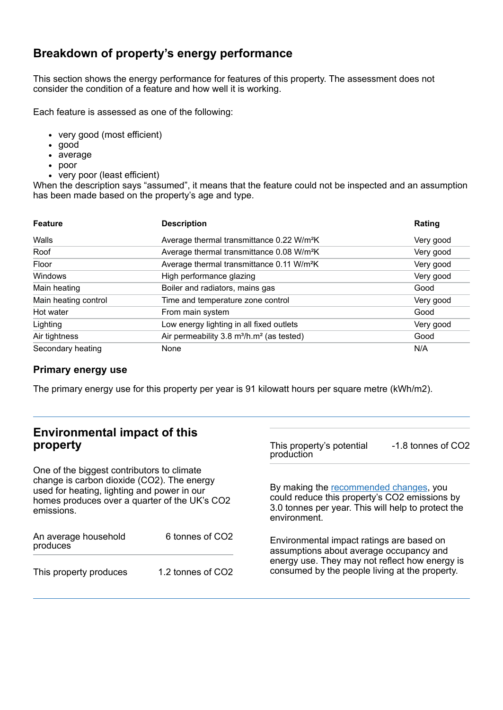## **Breakdown of property's energy performance**

This section shows the energy performance for features of this property. The assessment does not consider the condition of a feature and how well it is working.

Each feature is assessed as one of the following:

- very good (most efficient)
- good
- average
- poor
- very poor (least efficient)

When the description says "assumed", it means that the feature could not be inspected and an assumption has been made based on the property's age and type.

| <b>Feature</b>       | <b>Description</b>                                                | Rating    |
|----------------------|-------------------------------------------------------------------|-----------|
| Walls                | Average thermal transmittance 0.22 W/m <sup>2</sup> K             | Very good |
| Roof                 | Average thermal transmittance 0.08 W/m <sup>2</sup> K             | Very good |
| Floor                | Average thermal transmittance 0.11 W/m <sup>2</sup> K             | Very good |
| Windows              | High performance glazing                                          | Very good |
| Main heating         | Boiler and radiators, mains gas                                   | Good      |
| Main heating control | Time and temperature zone control                                 | Very good |
| Hot water            | From main system                                                  | Good      |
| Lighting             | Low energy lighting in all fixed outlets                          | Very good |
| Air tightness        | Air permeability 3.8 m <sup>3</sup> /h.m <sup>2</sup> (as tested) | Good      |
| Secondary heating    | None                                                              | N/A       |

#### **Primary energy use**

The primary energy use for this property per year is 91 kilowatt hours per square metre (kWh/m2).

# **Environmental impact of this property**

One of the biggest contributors to climate change is carbon dioxide (CO2). The energy used for heating, lighting and power in our homes produces over a quarter of the UK's CO2 emissions.

| An average household<br>produces | 6 tonnes of CO <sub>2</sub> |  |
|----------------------------------|-----------------------------|--|
| This property produces           | 1.2 tonnes of CO2           |  |

This property's potential production -1.8 tonnes of CO2

By making the [recommended](#page-2-0) changes, you could reduce this property's CO2 emissions by 3.0 tonnes per year. This will help to protect the environment.

Environmental impact ratings are based on assumptions about average occupancy and energy use. They may not reflect how energy is consumed by the people living at the property.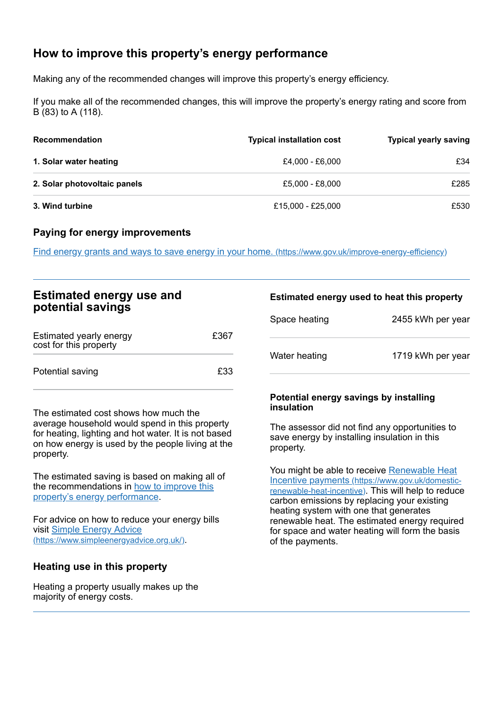# <span id="page-2-0"></span>**How to improve this property's energy performance**

Making any of the recommended changes will improve this property's energy efficiency.

If you make all of the recommended changes, this will improve the property's energy rating and score from B (83) to A (118).

| <b>Recommendation</b>        | <b>Typical installation cost</b> | <b>Typical yearly saving</b> |
|------------------------------|----------------------------------|------------------------------|
| 1. Solar water heating       | £4,000 - £6,000                  | £34                          |
| 2. Solar photovoltaic panels | £5,000 - £8,000                  | £285                         |
| 3. Wind turbine              | £15,000 - £25,000                | £530                         |

#### **Paying for energy improvements**

Find energy grants and ways to save energy in your home. [\(https://www.gov.uk/improve-energy-efficiency\)](https://www.gov.uk/improve-energy-efficiency)

## **Estimated energy use and potential savings**

| Estimated yearly energy<br>cost for this property | £367 |
|---------------------------------------------------|------|
| Potential saving                                  | £33  |

The estimated cost shows how much the average household would spend in this property for heating, lighting and hot water. It is not based on how energy is used by the people living at the property.

The estimated saving is based on making all of the [recommendations](#page-2-0) in how to improve this property's energy performance.

For advice on how to reduce your energy bills visit Simple Energy Advice [\(https://www.simpleenergyadvice.org.uk/\)](https://www.simpleenergyadvice.org.uk/).

#### **Heating use in this property**

Heating a property usually makes up the majority of energy costs.

#### **Estimated energy used to heat this property**

| Space heating | 2455 kWh per year |
|---------------|-------------------|
| Water heating | 1719 kWh per year |

#### **Potential energy savings by installing insulation**

The assessor did not find any opportunities to save energy by installing insulation in this property.

You might be able to receive Renewable Heat Incentive payments [\(https://www.gov.uk/domestic](https://www.gov.uk/domestic-renewable-heat-incentive)renewable-heat-incentive). This will help to reduce carbon emissions by replacing your existing heating system with one that generates renewable heat. The estimated energy required for space and water heating will form the basis of the payments.